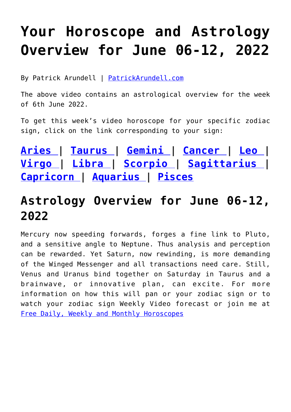## **[Your Horoscope and Astrology](https://consciouslifenews.com/your-horoscope-and-astrology-overview-for-june-06-12-2022/11212351/) [Overview for June 06-12, 2022](https://consciouslifenews.com/your-horoscope-and-astrology-overview-for-june-06-12-2022/11212351/)**

By Patrick Arundell | [PatrickArundell.com](https://www.patrickarundell.com/blog/astrology-overview-for-wc-6th-june-2022/)

The above video contains an astrological overview for the week of 6th June 2022.

To get this week's video horoscope for your specific zodiac sign, click on the link corresponding to your sign:

**[Aries |](http://www.patrickarundell.com/horoscopes/aries-daily-horoscope) [Taurus |](http://www.patrickarundell.com/horoscopes/taurus-daily-horoscope) [Gemini |](http://www.patrickarundell.com/horoscopes/gemini-daily-horoscope) [Cancer |](http://www.patrickarundell.com/horoscopes/cancer-daily-horoscope) [Leo |](http://www.patrickarundell.com/horoscopes/leo-daily-horoscope) [Virgo](http://www.patrickarundell.com/horoscopes/virgo-daily-horoscope) | [Libra |](http://www.patrickarundell.com/horoscopes/libra-daily-horoscope) [Scorpio |](http://www.patrickarundell.com/horoscopes/scorpio-daily-horoscope) [Sagittarius |](http://www.patrickarundell.com/horoscopes/sagittarius-daily-horoscope) [Capricorn](http://www.patrickarundell.com/horoscopes/capricorn-daily-horoscope) | [Aquarius |](http://www.patrickarundell.com/horoscopes/aquarius-daily-horoscope) [Pisces](http://www.patrickarundell.com/horoscopes/pisces-daily-horoscope)**

## **[Astrology Overview for June 06-12,](https://www.patrickarundell.com/blog/astrology-overview-for-wc-6th-june-2022/) [2022](https://www.patrickarundell.com/blog/astrology-overview-for-wc-6th-june-2022/)**

Mercury now speeding forwards, forges a fine link to Pluto, and a sensitive angle to Neptune. Thus analysis and perception can be rewarded. Yet Saturn, now rewinding, is more demanding of the Winged Messenger and all transactions need care. Still, Venus and Uranus bind together on Saturday in Taurus and a brainwave, or innovative plan, can excite. For more information on how this will pan or your zodiac sign or to watch your zodiac sign Weekly Video forecast or join me at [Free Daily, Weekly and Monthly Horoscopes](https://www.patrickarundell.com/Horoscopes)